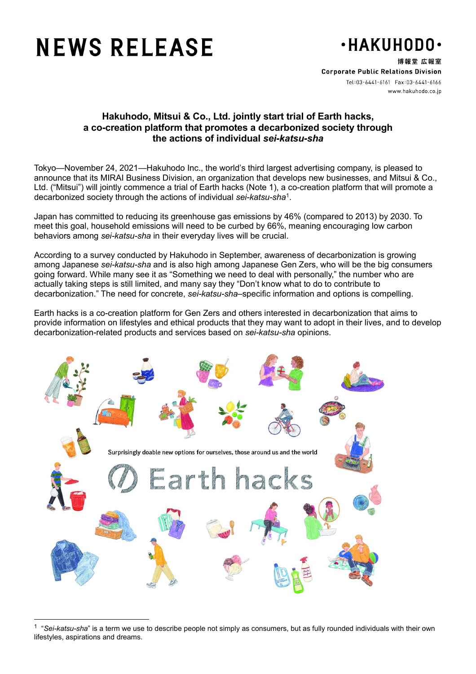# **NEWS RELEASE**



博報堂 広報室 **Corporate Public Relations Division** www.hakuhodo.co.jp

## **Hakuhodo, Mitsui & Co., Ltd. jointly start trial of Earth hacks, a co-creation platform that promotes a decarbonized society through the actions of individual** *sei-katsu-sha*

Tokyo—November 24, 2021—Hakuhodo Inc., the world's third largest advertising company, is pleased to announce that its MIRAI Business Division, an organization that develops new businesses, and Mitsui & Co., Ltd. ("Mitsui") will jointly commence a trial of Earth hacks (Note 1), a co-creation platform that will promote a decarbonized society through the actions of individual *sei-katsu-sha*[1.](#page-0-0)

Japan has committed to reducing its greenhouse gas emissions by 46% (compared to 2013) by 2030. To meet this goal, household emissions will need to be curbed by 66%, meaning encouraging low carbon behaviors among *sei-katsu-sha* in their everyday lives will be crucial.

According to a survey conducted by Hakuhodo in September, awareness of decarbonization is growing among Japanese *sei-katsu-sha* and is also high among Japanese Gen Zers, who will be the big consumers going forward. While many see it as "Something we need to deal with personally," the number who are actually taking steps is still limited, and many say they "Don't know what to do to contribute to decarbonization." The need for concrete, *sei-katsu-sha*–specific information and options is compelling.

Earth hacks is a co-creation platform for Gen Zers and others interested in decarbonization that aims to provide information on lifestyles and ethical products that they may want to adopt in their lives, and to develop decarbonization-related products and services based on *sei-katsu-sha* opinions.



<sup>1</sup> "*Sei-katsu-sha*" is a term we use to describe people not simply as consumers, but as fully rounded individuals with their own lifestyles, aspirations and dreams.

<span id="page-0-0"></span> $\overline{a}$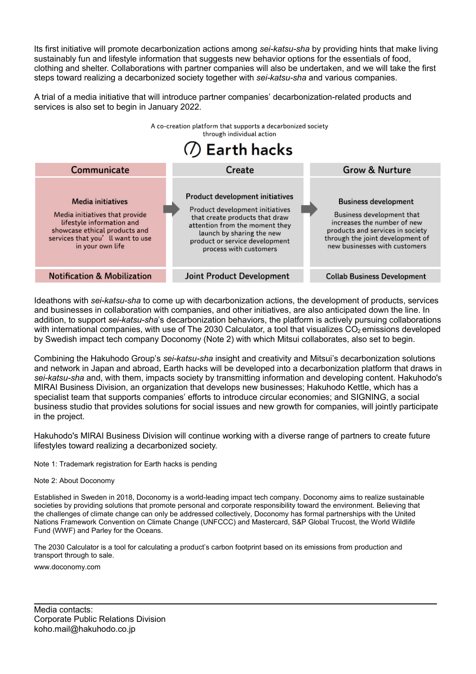Its first initiative will promote decarbonization actions among *sei-katsu-sha* by providing hints that make living sustainably fun and lifestyle information that suggests new behavior options for the essentials of food, clothing and shelter. Collaborations with partner companies will also be undertaken, and we will take the first steps toward realizing a decarbonized society together with *sei-katsu-sha* and various companies.

A trial of a media initiative that will introduce partner companies' decarbonization-related products and services is also set to begin in January 2022.



Ideathons with *sei-katsu-sha* to come up with decarbonization actions, the development of products, services and businesses in collaboration with companies, and other initiatives, are also anticipated down the line. In addition, to support *sei-katsu-sha*'s decarbonization behaviors, the platform is actively pursuing collaborations with international companies, with use of The 2030 Calculator, a tool that visualizes CO<sub>2</sub> emissions developed by Swedish impact tech company Doconomy (Note 2) with which Mitsui collaborates, also set to begin.

Combining the Hakuhodo Group's *sei-katsu-sha* insight and creativity and Mitsui's decarbonization solutions and network in Japan and abroad, Earth hacks will be developed into a decarbonization platform that draws in *sei-katsu-sha* and, with them, impacts society by transmitting information and developing content. Hakuhodo's MIRAI Business Division, an organization that develops new businesses; Hakuhodo Kettle, which has a specialist team that supports companies' efforts to introduce circular economies; and SIGNING, a social business studio that provides solutions for social issues and new growth for companies, will jointly participate in the project.

Hakuhodo's MIRAI Business Division will continue working with a diverse range of partners to create future lifestyles toward realizing a decarbonized society.

Note 1: Trademark registration for Earth hacks is pending

#### Note 2: About Doconomy

Established in Sweden in 2018, Doconomy is a world-leading impact tech company. Doconomy aims to realize sustainable societies by providing solutions that promote personal and corporate responsibility toward the environment. Believing that the challenges of climate change can only be addressed collectively, Doconomy has formal partnerships with the United Nations Framework Convention on Climate Change (UNFCCC) and Mastercard, S&P Global Trucost, the World Wildlife Fund (WWF) and Parley for the Oceans.

The 2030 Calculator is a tool for calculating a product's carbon footprint based on its emissions from production and transport through to sale.

www.doconomy.com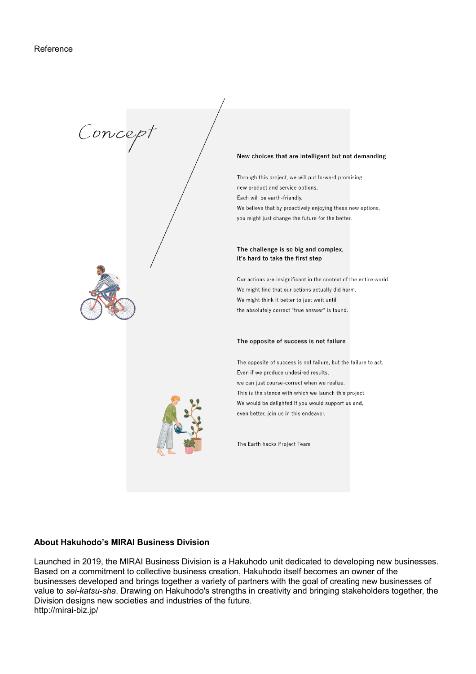

#### **About Hakuhodo's MIRAI Business Division**

Launched in 2019, the MIRAI Business Division is a Hakuhodo unit dedicated to developing new businesses. Based on a commitment to collective business creation, Hakuhodo itself becomes an owner of the businesses developed and brings together a variety of partners with the goal of creating new businesses of value to *sei-katsu-sha*. Drawing on Hakuhodo's strengths in creativity and bringing stakeholders together, the Division designs new societies and industries of the future. http://mirai-biz.jp/